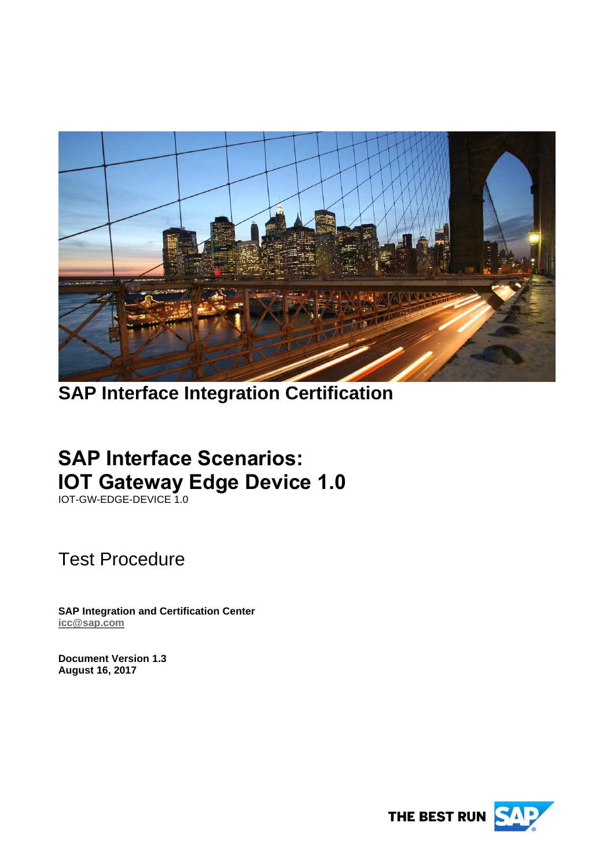

# **SAP Interface Integration Certification**

# **SAP Interface Scenarios: IOT Gateway Edge Device 1.0**

IOT-GW-EDGE-DEVICE 1.0

Test Procedure

**SAP Integration and Certification Center [icc@sap.com](mailto:icc@sap.com)**

**Document Version 1.3 August 16, 2017**

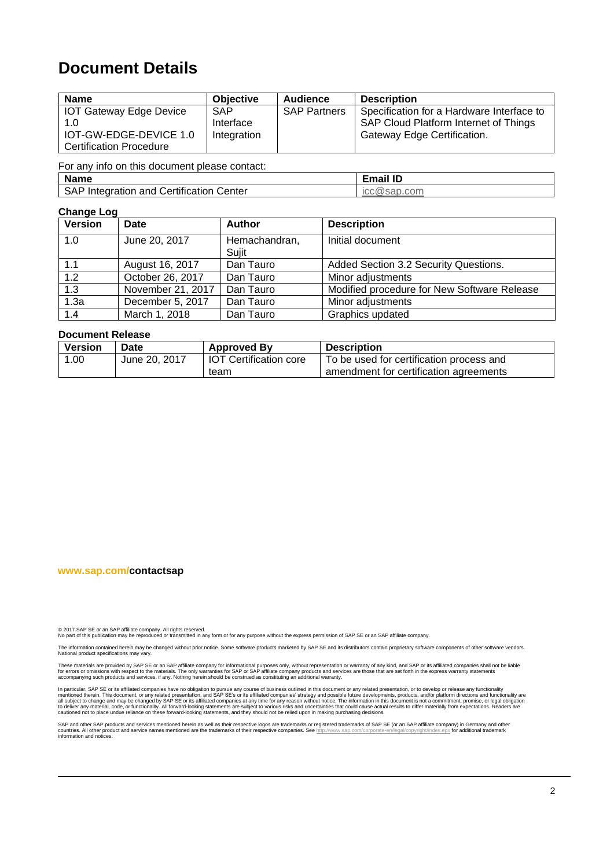# **Document Details**

| <b>Name</b>                                                     | <b>Objective</b>                       | Audience            | <b>Description</b>                                                                                                       |
|-----------------------------------------------------------------|----------------------------------------|---------------------|--------------------------------------------------------------------------------------------------------------------------|
| <b>IOT Gateway Edge Device</b><br>1.0<br>IOT-GW-EDGE-DEVICE 1.0 | <b>SAP</b><br>Interface<br>Integration | <b>SAP Partners</b> | Specification for a Hardware Interface to<br>SAP Cloud Platform Internet of Things<br><b>Gateway Edge Certification.</b> |
| <b>Certification Procedure</b>                                  |                                        |                     |                                                                                                                          |

For any info on this document please contact:

| <b>Name</b>                                            | <b>Email ID</b> |
|--------------------------------------------------------|-----------------|
| .<br>SAP<br>Certification<br>Center<br>Integration and | ICC@sap.com     |

#### **Change Log**

| <b>Version</b> | Date              | <b>Author</b>          | <b>Description</b>                          |
|----------------|-------------------|------------------------|---------------------------------------------|
| 1.0            | June 20, 2017     | Hemachandran,<br>Sujit | Initial document                            |
| 1.1            | August 16, 2017   | Dan Tauro              | Added Section 3.2 Security Questions.       |
| 1.2            | October 26, 2017  | Dan Tauro              | Minor adjustments                           |
| 1.3            | November 21, 2017 | Dan Tauro              | Modified procedure for New Software Release |
| 1.3a           | December 5, 2017  | Dan Tauro              | Minor adjustments                           |
| 1.4            | March 1, 2018     | Dan Tauro              | Graphics updated                            |

#### **Document Release**

| <b>Version</b> | <b>Date</b>   | <b>Approved By</b>            | <b>Description</b>                       |
|----------------|---------------|-------------------------------|------------------------------------------|
| 1.00           | June 20, 2017 | <b>IOT Certification core</b> | To be used for certification process and |
|                |               | team                          | amendment for certification agreements   |

#### **www.sap.com/contactsap**

© 2017 SAP SE or an SAP affiliate company. All rights reserved.<br>No part of this publication may be reproduced or transmitted in any form or for any purpose without the express permission of SAP SE or an SAP affiliate compa

The information contained herein may be changed without prior notice. Some software products marketed by SAP SE and its distributors contain proprietary software components of other software vendors.<br>National product speci

These materials are provided by SAP SE or an SAP affiliate company for informational purposes only, without representation or warranty of any kind, and SAP or its affiliated companies shall not be liable<br>for errors or omis

In particular, SAP SE or its affiliated companies have no obligation to pursue any course of business outlined in this document or any related presentation, or to develop or release any functionality are<br>all subject to cha cautioned not to place undue reliance on these forward-looking statements, and they should not be relied upon in making purchasing decisions.

SAP and other SAP products and services mentioned herein as well as their respective logos are trademarks or registered trademarks of SAP SE (or an SAP affiliate company) in Germany and other<br>countries. All other product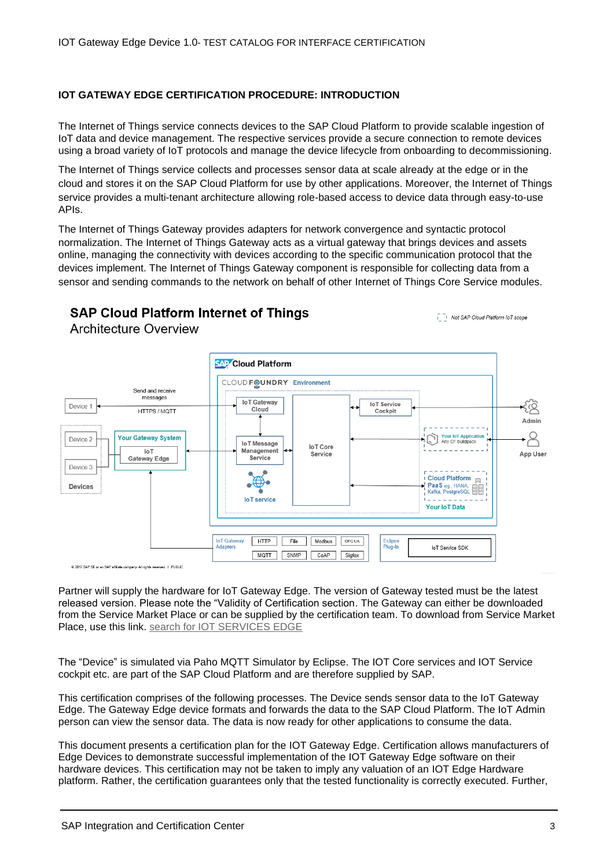#### **IOT GATEWAY EDGE CERTIFICATION PROCEDURE: INTRODUCTION**

The Internet of Things service connects devices to the SAP Cloud Platform to provide scalable ingestion of IoT data and device management. The respective services provide a secure connection to remote devices using a broad variety of IoT protocols and manage the device lifecycle from onboarding to decommissioning.

The Internet of Things service collects and processes sensor data at scale already at the edge or in the cloud and stores it on the SAP Cloud Platform for use by other applications. Moreover, the Internet of Things service provides a multi-tenant architecture allowing role-based access to device data through easy-to-use APIs.

The Internet of Things Gateway provides adapters for network convergence and syntactic protocol normalization. The Internet of Things Gateway acts as a virtual gateway that brings devices and assets online, managing the connectivity with devices according to the specific communication protocol that the devices implement. The Internet of Things Gateway component is responsible for collecting data from a sensor and sending commands to the network on behalf of other Internet of Things Core Service modules.

### **SAP Cloud Platform Internet of Things Architecture Overview**

Not SAP Cloud Platform IoT scope



Partner will supply the hardware for IoT Gateway Edge. The version of Gateway tested must be the latest released version. Please note the "Validity of Certification section. The Gateway can either be downloaded from the Service Market Place or can be supplied by the certification team. To download from Service Market Place, use this link. [search for IOT SERVICES EDGE](https://launchpad.support.sap.com/#/softwarecenter/search/IOT%2520SERVICES%2520EDGE)

The "Device" is simulated via Paho MQTT Simulator by Eclipse. The IOT Core services and IOT Service cockpit etc. are part of the SAP Cloud Platform and are therefore supplied by SAP.

This certification comprises of the following processes. The Device sends sensor data to the IoT Gateway Edge. The Gateway Edge device formats and forwards the data to the SAP Cloud Platform. The IoT Admin person can view the sensor data. The data is now ready for other applications to consume the data.

This document presents a certification plan for the IOT Gateway Edge. Certification allows manufacturers of Edge Devices to demonstrate successful implementation of the IOT Gateway Edge software on their hardware devices. This certification may not be taken to imply any valuation of an IOT Edge Hardware platform. Rather, the certification guarantees only that the tested functionality is correctly executed. Further,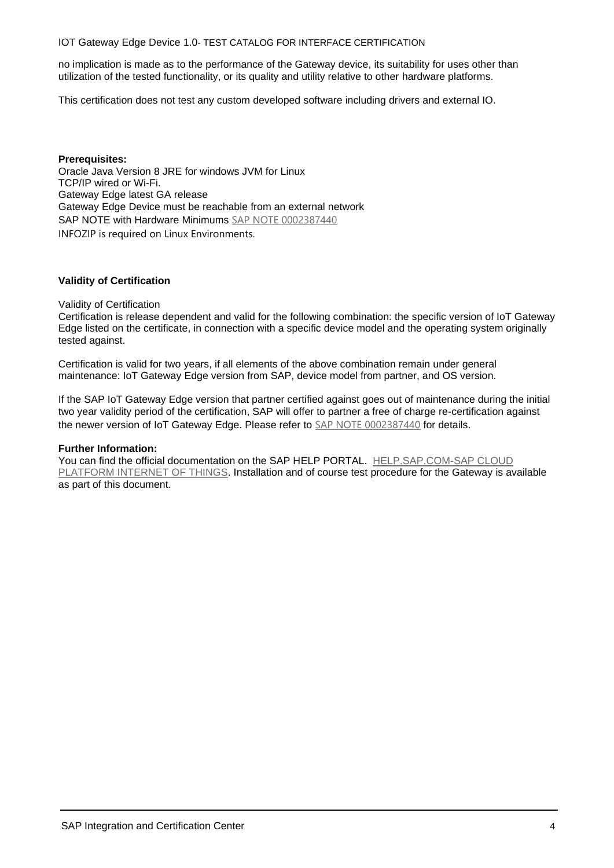no implication is made as to the performance of the Gateway device, its suitability for uses other than utilization of the tested functionality, or its quality and utility relative to other hardware platforms.

This certification does not test any custom developed software including drivers and external IO.

**Prerequisites:**  Oracle Java Version 8 JRE for windows JVM for Linux TCP/IP wired or Wi-Fi. Gateway Edge latest GA release Gateway Edge Device must be reachable from an external network SAP NOTE with Hardware Minimums [SAP NOTE 0002387440](https://launchpad.support.sap.com/#/notes/2387440) INFOZIP is required on Linux Environments.

#### **Validity of Certification**

Validity of Certification

Certification is release dependent and valid for the following combination: the specific version of IoT Gateway Edge listed on the certificate, in connection with a specific device model and the operating system originally tested against.

Certification is valid for two years, if all elements of the above combination remain under general maintenance: IoT Gateway Edge version from SAP, device model from partner, and OS version.

If the SAP IoT Gateway Edge version that partner certified against goes out of maintenance during the initial two year validity period of the certification, SAP will offer to partner a free of charge re-certification against the newer version of IoT Gateway Edge. Please refer to [SAP NOTE 0002387440](https://launchpad.support.sap.com/#/notes/2387440) for details.

#### **Further Information:**

You can find the official documentation on the SAP HELP PORTAL. [HELP.SAP.COM-SAP CLOUD](https://help.sap.com/viewer/product/SAP_CP_IOT_4.0/Cloud/en-US)  [PLATFORM INTERNET OF THINGS.](https://help.sap.com/viewer/product/SAP_CP_IOT_4.0/Cloud/en-US) Installation and of course test procedure for the Gateway is available as part of this document.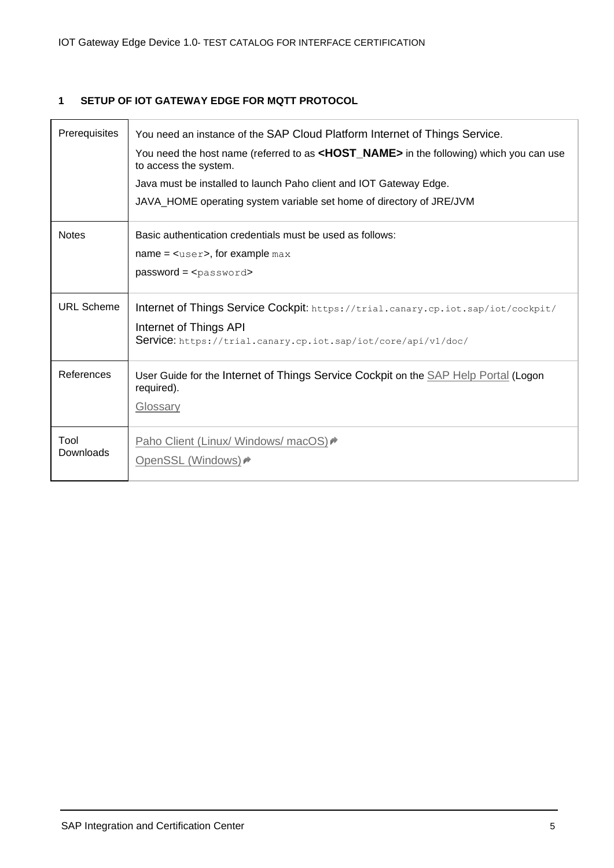# **1 SETUP OF IOT GATEWAY EDGE FOR MQTT PROTOCOL**

| Prerequisites     | You need an instance of the SAP Cloud Platform Internet of Things Service.<br>You need the host name (referred to as <host_name> in the following) which you can use<br/>to access the system.<br/>Java must be installed to launch Paho client and IOT Gateway Edge.<br/>JAVA_HOME operating system variable set home of directory of JRE/JVM</host_name> |
|-------------------|------------------------------------------------------------------------------------------------------------------------------------------------------------------------------------------------------------------------------------------------------------------------------------------------------------------------------------------------------------|
| <b>Notes</b>      | Basic authentication credentials must be used as follows:<br>$name = \\simeq, for example max$<br>$password = password$                                                                                                                                                                                                                                    |
| <b>URL Scheme</b> | Internet of Things Service Cockpit: https://trial.canary.cp.iot.sap/iot/cockpit/<br>Internet of Things API<br>Service: https://trial.canary.cp.iot.sap/iot/core/api/v1/doc/                                                                                                                                                                                |
| References        | User Guide for the Internet of Things Service Cockpit on the <b>SAP Help Portal</b> (Logon<br>required).<br>Glossary                                                                                                                                                                                                                                       |
| Tool<br>Downloads | Paho Client (Linux/ Windows/ macOS)<br>OpenSSL (Windows) →                                                                                                                                                                                                                                                                                                 |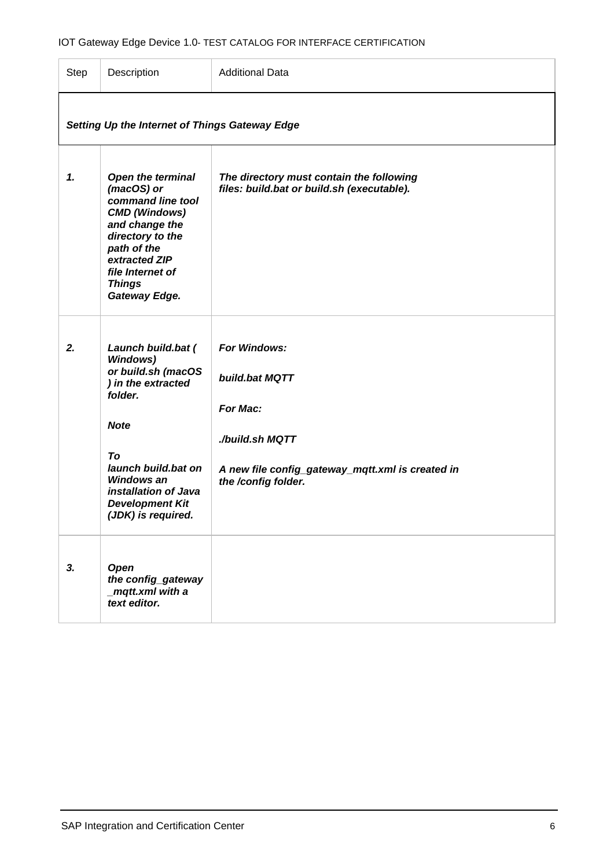| Step | Description                                                                                                                                                                                                                           | <b>Additional Data</b>                                                                                                                   |
|------|---------------------------------------------------------------------------------------------------------------------------------------------------------------------------------------------------------------------------------------|------------------------------------------------------------------------------------------------------------------------------------------|
|      | Setting Up the Internet of Things Gateway Edge                                                                                                                                                                                        |                                                                                                                                          |
| 1.   | <b>Open the terminal</b><br>(macOS) or<br>command line tool<br><b>CMD</b> (Windows)<br>and change the<br>directory to the<br>path of the<br>extracted ZIP<br>file Internet of<br><b>Things</b><br>Gateway Edge.                       | The directory must contain the following<br>files: build.bat or build.sh (executable).                                                   |
| 2.   | Launch build.bat (<br><b>Windows)</b><br>or build.sh (macOS<br>) in the extracted<br>folder.<br><b>Note</b><br>To<br>launch build.bat on<br><b>Windows an</b><br>installation of Java<br><b>Development Kit</b><br>(JDK) is required. | For Windows:<br>build.bat MQTT<br>For Mac:<br>./build.sh MQTT<br>A new file config_gateway_mqtt.xml is created in<br>the /config folder. |
| 3.   | Open<br>the config_gateway<br>_mqtt.xml with a<br>text editor.                                                                                                                                                                        |                                                                                                                                          |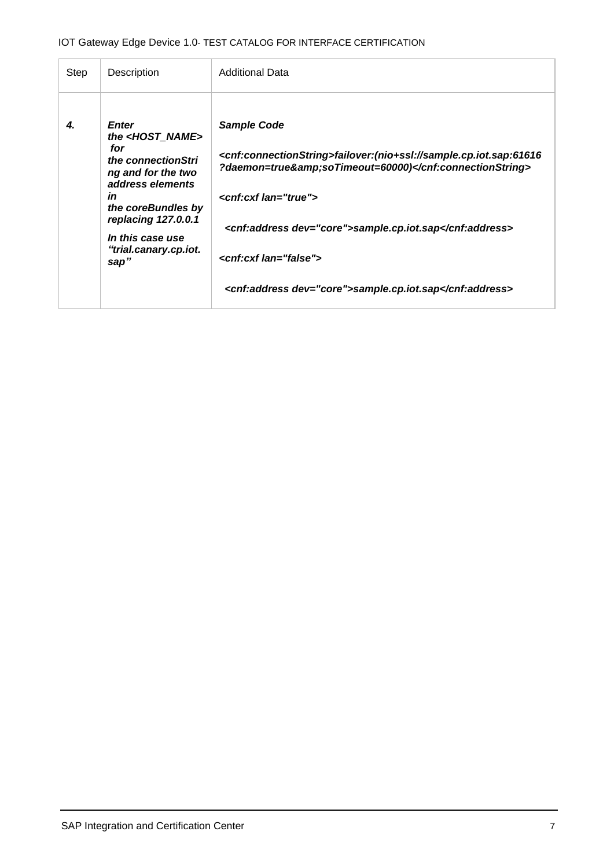| Step | Description                                                                                                                                                                                                                          | <b>Additional Data</b>                                                                                                                                                                                                                                                                                                                             |
|------|--------------------------------------------------------------------------------------------------------------------------------------------------------------------------------------------------------------------------------------|----------------------------------------------------------------------------------------------------------------------------------------------------------------------------------------------------------------------------------------------------------------------------------------------------------------------------------------------------|
| 4.   | <b>Enter</b><br>the <host_name><br/>for<br/>the connectionStri<br/>ng and for the two<br/>address elements<br/>in<br/>the coreBundles by<br/>replacing 127.0.0.1<br/>In this case use<br/>"trial.canary.cp.iot.<br/>sap"</host_name> | <b>Sample Code</b><br><cnf:connectionstring>failover:(nio+ssl://sample.cp.iot.sap:61616<br/>?daemon=true&amp;soTimeout=60000)</cnf:connectionstring><br><cnf:cxf lan="true"><br/><cnf:address dev="core">sample.cp.iot.sap</cnf:address><br/><cnf:cxf lan="false"><br/><cnf:address dev="core">sample.cp.iot.sap</cnf:address></cnf:cxf></cnf:cxf> |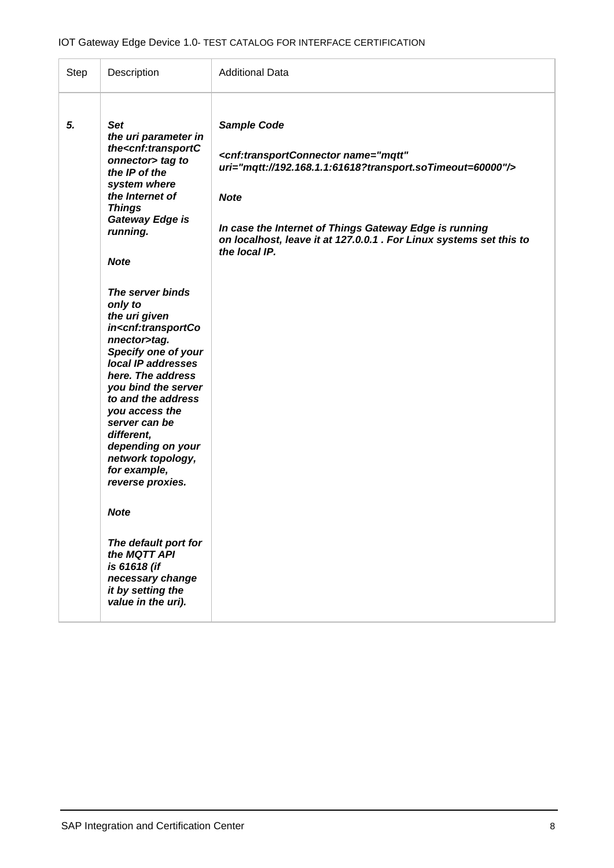| Step | Description                                                                                                                                                                                                                                                                                                                                                                                                                                                                                                                                                                                                                                                                                                                                             | <b>Additional Data</b>                                                                                                                                                                                                                                                                                                       |
|------|---------------------------------------------------------------------------------------------------------------------------------------------------------------------------------------------------------------------------------------------------------------------------------------------------------------------------------------------------------------------------------------------------------------------------------------------------------------------------------------------------------------------------------------------------------------------------------------------------------------------------------------------------------------------------------------------------------------------------------------------------------|------------------------------------------------------------------------------------------------------------------------------------------------------------------------------------------------------------------------------------------------------------------------------------------------------------------------------|
| 5.   | <b>Set</b><br>the uri parameter in<br>the <cnf:transportc<br>onnector&gt; tag to<br/>the IP of the<br/>system where<br/>the Internet of<br/><b>Things</b><br/>Gateway Edge is<br/>running.<br/><b>Note</b><br/>The server binds<br/>only to<br/>the uri given<br/>in<cnf:transportco<br>nnector&gt;tag.<br/>Specify one of your<br/>local IP addresses<br/>here. The address<br/>you bind the server<br/>to and the address<br/>you access the<br/>server can be<br/>different,<br/>depending on your<br/>network topology,<br/>for example,<br/>reverse proxies.<br/><b>Note</b><br/>The default port for<br/>the MQTT API<br/>is 61618 (if<br/>necessary change<br/>it by setting the<br/>value in the uri).</cnf:transportco<br></cnf:transportc<br> | <b>Sample Code</b><br><cnf:transportconnector <br="" name="mqtt">uri="mqtt://192.168.1.1:61618?transport.soTimeout=60000"/&gt;<br/><b>Note</b><br/>In case the Internet of Things Gateway Edge is running<br/>on localhost, leave it at 127.0.0.1 . For Linux systems set this to<br/>the local IP.</cnf:transportconnector> |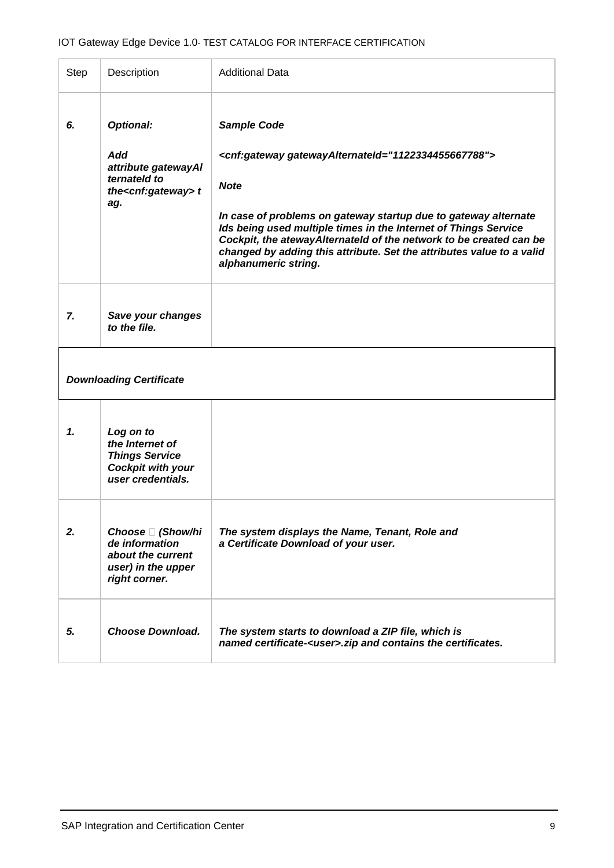|    | Description                                                                                                 | <b>Additional Data</b>                                                                                                                                                                                                                                                                                                                                                                                                     |
|----|-------------------------------------------------------------------------------------------------------------|----------------------------------------------------------------------------------------------------------------------------------------------------------------------------------------------------------------------------------------------------------------------------------------------------------------------------------------------------------------------------------------------------------------------------|
| 6. | <b>Optional:</b><br>Add<br>attribute gatewayAI<br>ternateld to<br>the <cnf:gateway> t<br/>ag.</cnf:gateway> | <b>Sample Code</b><br><cnf:gateway gatewayalternateid="1122334455667788"><br/><b>Note</b><br/>In case of problems on gateway startup due to gateway alternate<br/>Ids being used multiple times in the Internet of Things Service<br/>Cockpit, the ateway Alternateld of the network to be created can be<br/>changed by adding this attribute. Set the attributes value to a valid<br/>alphanumeric string.</cnf:gateway> |
| 7. | Save your changes<br>to the file.                                                                           |                                                                                                                                                                                                                                                                                                                                                                                                                            |
|    |                                                                                                             |                                                                                                                                                                                                                                                                                                                                                                                                                            |
|    | <b>Downloading Certificate</b>                                                                              |                                                                                                                                                                                                                                                                                                                                                                                                                            |
| 1. | Log on to<br>the Internet of<br><b>Things Service</b><br><b>Cockpit with your</b><br>user credentials.      |                                                                                                                                                                                                                                                                                                                                                                                                                            |
| 2. | Choose □ (Show/hi<br>de information<br>about the current<br>user) in the upper<br>right corner.             | The system displays the Name, Tenant, Role and<br>a Certificate Download of your user.                                                                                                                                                                                                                                                                                                                                     |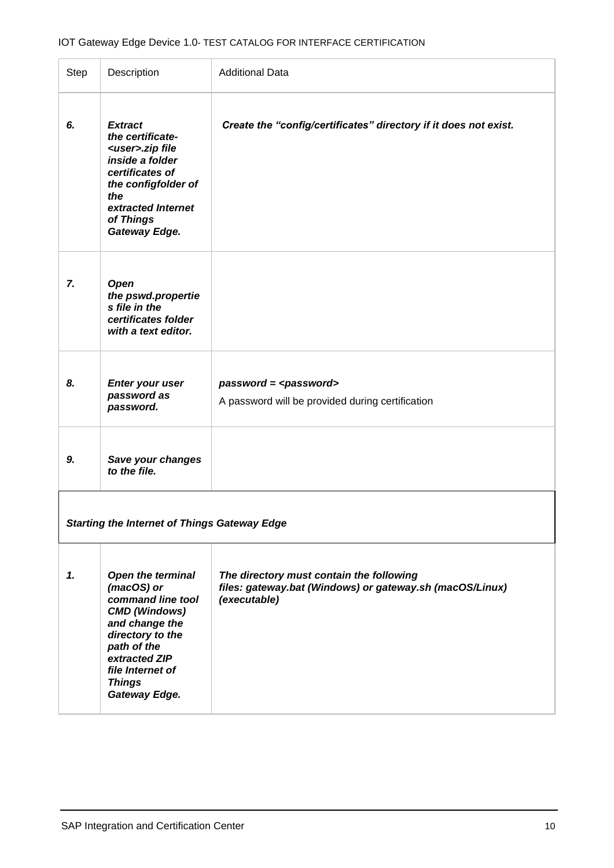| Step | Description                                                                                                                                                                                                     | <b>Additional Data</b>                                                                                               |
|------|-----------------------------------------------------------------------------------------------------------------------------------------------------------------------------------------------------------------|----------------------------------------------------------------------------------------------------------------------|
| 6.   | <b>Extract</b><br>the certificate-<br><user>.zip file<br/>inside a folder<br/>certificates of<br/>the configfolder of<br/>the<br/>extracted Internet<br/>of Things<br/>Gateway Edge.</user>                     | Create the "config/certificates" directory if it does not exist.                                                     |
| 7.   | Open<br>the pswd.propertie<br>s file in the<br>certificates folder<br>with a text editor.                                                                                                                       |                                                                                                                      |
| 8.   | <b>Enter your user</b><br>password as<br>password.                                                                                                                                                              | $password = password$<br>A password will be provided during certification                                            |
| 9.   | Save your changes<br>to the file.                                                                                                                                                                               |                                                                                                                      |
|      | <b>Starting the Internet of Things Gateway Edge</b>                                                                                                                                                             |                                                                                                                      |
| 1.   | <b>Open the terminal</b><br>(macOS) or<br>command line tool<br><b>CMD (Windows)</b><br>and change the<br>directory to the<br>path of the<br>extracted ZIP<br>file Internet of<br><b>Things</b><br>Gateway Edge. | The directory must contain the following<br>files: gateway.bat (Windows) or gateway.sh (macOS/Linux)<br>(executable) |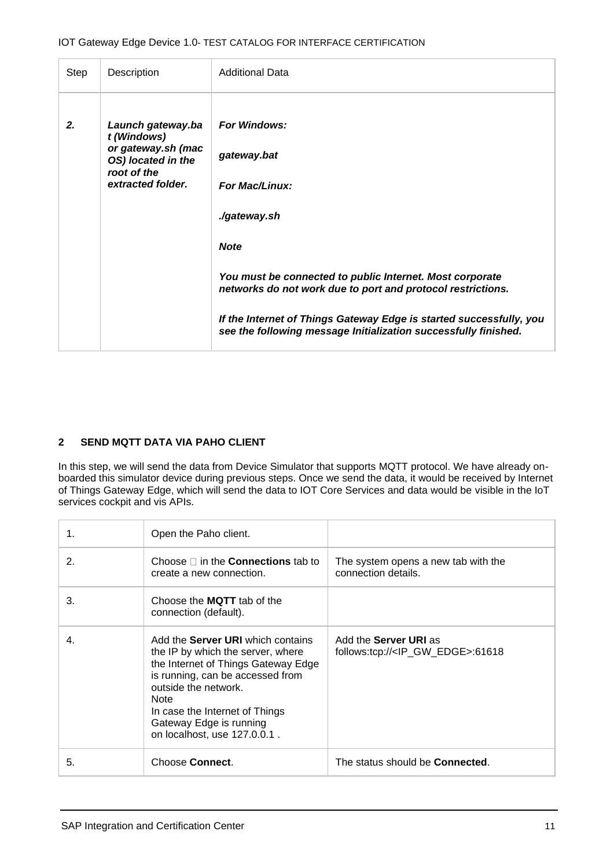| Step | Description                                                                                                      | <b>Additional Data</b>                                                                                                                                                                                                                                                                                                                                          |
|------|------------------------------------------------------------------------------------------------------------------|-----------------------------------------------------------------------------------------------------------------------------------------------------------------------------------------------------------------------------------------------------------------------------------------------------------------------------------------------------------------|
| 2.   | Launch gateway.ba<br>t (Windows)<br>or gateway.sh (mac<br>OS) located in the<br>root of the<br>extracted folder. | <b>For Windows:</b><br>gateway.bat<br><b>For Mac/Linux:</b><br>./gateway.sh<br><b>Note</b><br>You must be connected to public Internet. Most corporate<br>networks do not work due to port and protocol restrictions.<br>If the Internet of Things Gateway Edge is started successfully, you<br>see the following message Initialization successfully finished. |

### **2 SEND MQTT DATA VIA PAHO CLIENT**

In this step, we will send the data from Device Simulator that supports MQTT protocol. We have already onboarded this simulator device during previous steps. Once we send the data, it would be received by Internet of Things Gateway Edge, which will send the data to IOT Core Services and data would be visible in the IoT services cockpit and vis APIs.

| 1. | Open the Paho client.                                                                                                                                                                                                                                                                        |                                                                                |
|----|----------------------------------------------------------------------------------------------------------------------------------------------------------------------------------------------------------------------------------------------------------------------------------------------|--------------------------------------------------------------------------------|
| 2. | Choose $\Box$ in the <b>Connections</b> tab to<br>create a new connection.                                                                                                                                                                                                                   | The system opens a new tab with the<br>connection details.                     |
| 3. | Choose the <b>MQTT</b> tab of the<br>connection (default).                                                                                                                                                                                                                                   |                                                                                |
| 4. | Add the <b>Server URI</b> which contains<br>the IP by which the server, where<br>the Internet of Things Gateway Edge<br>is running, can be accessed from<br>outside the network.<br><b>Note</b><br>In case the Internet of Things<br>Gateway Edge is running<br>on localhost, use 127.0.0.1. | Add the <b>Server URI</b> as<br>follows:tcp:// <ip_gw_edge>:61618</ip_gw_edge> |
| 5. | Choose Connect.                                                                                                                                                                                                                                                                              | The status should be <b>Connected</b> .                                        |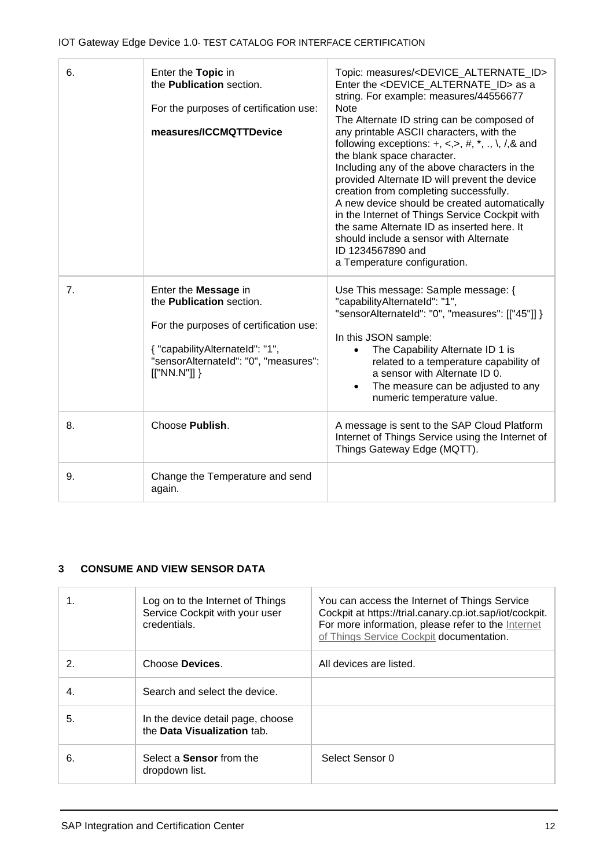| 6. | Enter the Topic in<br>the <b>Publication</b> section.<br>For the purposes of certification use:<br>measures/ICCMQTTDevice                                                                   | Topic: measures/ <device_alternate_id><br/>Enter the <device alternate="" id=""> as a<br/>string. For example: measures/44556677<br/><b>Note</b><br/>The Alternate ID string can be composed of<br/>any printable ASCII characters, with the<br/>following exceptions: <math>+, \le, &gt;, #, *, \dots, \setminus, /, \&amp;\</math>and<br/>the blank space character.<br/>Including any of the above characters in the<br/>provided Alternate ID will prevent the device<br/>creation from completing successfully.<br/>A new device should be created automatically<br/>in the Internet of Things Service Cockpit with<br/>the same Alternate ID as inserted here. It<br/>should include a sensor with Alternate<br/>ID 1234567890 and<br/>a Temperature configuration.</device></device_alternate_id> |
|----|---------------------------------------------------------------------------------------------------------------------------------------------------------------------------------------------|----------------------------------------------------------------------------------------------------------------------------------------------------------------------------------------------------------------------------------------------------------------------------------------------------------------------------------------------------------------------------------------------------------------------------------------------------------------------------------------------------------------------------------------------------------------------------------------------------------------------------------------------------------------------------------------------------------------------------------------------------------------------------------------------------------|
| 7. | Enter the Message in<br>the <b>Publication</b> section.<br>For the purposes of certification use:<br>{ "capabilityAlternateId": "1",<br>"sensorAlternateId": "0", "measures":<br>[["NN.N"]] | Use This message: Sample message: {<br>"capabilityAlternateId": "1",<br>"sensorAlternateId": "0", "measures": [["45"]] }<br>In this JSON sample:<br>The Capability Alternate ID 1 is<br>related to a temperature capability of<br>a sensor with Alternate ID 0.<br>The measure can be adjusted to any<br>numeric temperature value.                                                                                                                                                                                                                                                                                                                                                                                                                                                                      |
| 8. | Choose Publish.                                                                                                                                                                             | A message is sent to the SAP Cloud Platform<br>Internet of Things Service using the Internet of<br>Things Gateway Edge (MQTT).                                                                                                                                                                                                                                                                                                                                                                                                                                                                                                                                                                                                                                                                           |
| 9. | Change the Temperature and send<br>again.                                                                                                                                                   |                                                                                                                                                                                                                                                                                                                                                                                                                                                                                                                                                                                                                                                                                                                                                                                                          |

# **3 CONSUME AND VIEW SENSOR DATA**

|    | Log on to the Internet of Things<br>Service Cockpit with your user<br>credentials. | You can access the Internet of Things Service<br>Cockpit at https://trial.canary.cp.iot.sap/iot/cockpit.<br>For more information, please refer to the Internet<br>of Things Service Cockpit documentation. |
|----|------------------------------------------------------------------------------------|------------------------------------------------------------------------------------------------------------------------------------------------------------------------------------------------------------|
| 2. | Choose Devices.                                                                    | All devices are listed.                                                                                                                                                                                    |
| 4. | Search and select the device.                                                      |                                                                                                                                                                                                            |
| 5. | In the device detail page, choose<br>the Data Visualization tab.                   |                                                                                                                                                                                                            |
| 6. | Select a <b>Sensor</b> from the<br>dropdown list.                                  | Select Sensor 0                                                                                                                                                                                            |